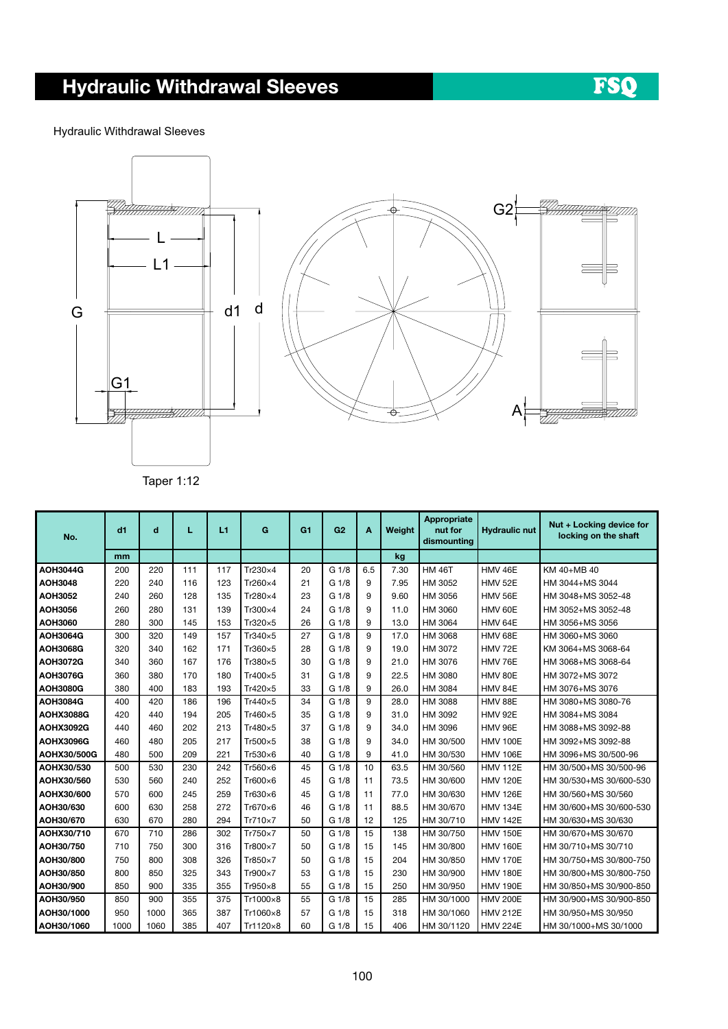## Hydraulic Withdrawal Sleeves

Hydraulic Withdrawal Sleeves





Taper 1:12

| No.              | d1   | d    | L   | L1  | G        | G <sub>1</sub> | G <sub>2</sub>   | A            | Weight | Appropriate<br>nut for<br>dismounting | <b>Hydraulic nut</b> | Nut + Locking device for<br>locking on the shaft |
|------------------|------|------|-----|-----|----------|----------------|------------------|--------------|--------|---------------------------------------|----------------------|--------------------------------------------------|
|                  | mm   |      |     |     |          |                |                  |              | kg     |                                       |                      |                                                  |
| <b>AOH3044G</b>  | 200  | 220  | 111 | 117 | Tr230×4  | 20             | G 1/8            | 6.5          | 7.30   | <b>HM 46T</b>                         | HMV 46E              | KM 40+MB 40                                      |
| <b>AOH3048</b>   | 220  | 240  | 116 | 123 | Tr260×4  | 21             | G <sub>1/8</sub> | 9            | 7.95   | HM 3052                               | <b>HMV 52E</b>       | HM 3044+MS 3044                                  |
| AOH3052          | 240  | 260  | 128 | 135 | Tr280×4  | 23             | G 1/8            | 9            | 9.60   | HM 3056                               | <b>HMV 56E</b>       | HM 3048+MS 3052-48                               |
| <b>AOH3056</b>   | 260  | 280  | 131 | 139 | Tr300×4  | 24             | G 1/8            | 9            | 11.0   | HM 3060                               | HMV 60E              | HM 3052+MS 3052-48                               |
| AOH3060          | 280  | 300  | 145 | 153 | Tr320×5  | 26             | G 1/8            | 9            | 13.0   | HM 3064                               | HMV 64E              | HM 3056+MS 3056                                  |
| <b>AOH3064G</b>  | 300  | 320  | 149 | 157 | Tr340×5  | 27             | G 1/8            | 9            | 17.0   | HM 3068                               | HMV 68E              | HM 3060+MS 3060                                  |
| <b>AOH3068G</b>  | 320  | 340  | 162 | 171 | Tr360×5  | 28             | G 1/8            | 9            | 19.0   | HM 3072                               | HMV 72E              | KM 3064+MS 3068-64                               |
| AOH3072G         | 340  | 360  | 167 | 176 | Tr380×5  | 30             | G 1/8            | 9            | 21.0   | HM 3076                               | HMV 76E              | HM 3068+MS 3068-64                               |
| <b>AOH3076G</b>  | 360  | 380  | 170 | 180 | Tr400×5  | 31             | G 1/8            | 9            | 22.5   | HM 3080                               | HMV 80E              | HM 3072+MS 3072                                  |
| <b>AOH3080G</b>  | 380  | 400  | 183 | 193 | Tr420×5  | 33             | G 1/8            | 9            | 26.0   | HM 3084                               | HMV 84E              | HM 3076+MS 3076                                  |
| <b>AOH3084G</b>  | 400  | 420  | 186 | 196 | Tr440×5  | 34             | G 1/8            | $\mathbf{Q}$ | 28.0   | HM 3088                               | HMV 88E              | HM 3080+MS 3080-76                               |
| <b>AOHX3088G</b> | 420  | 440  | 194 | 205 | Tr460×5  | 35             | G 1/8            | 9            | 31.0   | HM 3092                               | <b>HMV 92E</b>       | HM 3084+MS 3084                                  |
| <b>AOHX3092G</b> | 440  | 460  | 202 | 213 | Tr480×5  | 37             | G 1/8            | 9            | 34.0   | HM 3096                               | HMV 96E              | HM 3088+MS 3092-88                               |
| <b>AOHX3096G</b> | 460  | 480  | 205 | 217 | Tr500×5  | 38             | G 1/8            | 9            | 34.0   | HM 30/500                             | <b>HMV 100E</b>      | HM 3092+MS 3092-88                               |
| AOHX30/500G      | 480  | 500  | 209 | 221 | Tr530×6  | 40             | G 1/8            | 9            | 41.0   | HM 30/530                             | <b>HMV 106E</b>      | HM 3096+MS 30/500-96                             |
| AOHX30/530       | 500  | 530  | 230 | 242 | Tr560×6  | 45             | G <sub>1/8</sub> | 10           | 63.5   | HM 30/560                             | <b>HMV 112E</b>      | HM 30/500+MS 30/500-96                           |
| AOHX30/560       | 530  | 560  | 240 | 252 | Tr600×6  | 45             | G 1/8            | 11           | 73.5   | HM 30/600                             | <b>HMV 120E</b>      | HM 30/530+MS 30/600-530                          |
| AOHX30/600       | 570  | 600  | 245 | 259 | Tr630×6  | 45             | G 1/8            | 11           | 77.0   | HM 30/630                             | <b>HMV 126E</b>      | HM 30/560+MS 30/560                              |
| AOH30/630        | 600  | 630  | 258 | 272 | Tr670×6  | 46             | G 1/8            | 11           | 88.5   | HM 30/670                             | <b>HMV 134E</b>      | HM 30/600+MS 30/600-530                          |
| AOH30/670        | 630  | 670  | 280 | 294 | Tr710×7  | 50             | G 1/8            | 12           | 125    | HM 30/710                             | <b>HMV 142E</b>      | HM 30/630+MS 30/630                              |
| AOHX30/710       | 670  | 710  | 286 | 302 | Tr750×7  | 50             | G <sub>1/8</sub> | 15           | 138    | HM 30/750                             | <b>HMV 150E</b>      | HM 30/670+MS 30/670                              |
| AOH30/750        | 710  | 750  | 300 | 316 | Tr800×7  | 50             | G 1/8            | 15           | 145    | HM 30/800                             | <b>HMV 160E</b>      | HM 30/710+MS 30/710                              |
| AOH30/800        | 750  | 800  | 308 | 326 | Tr850×7  | 50             | G 1/8            | 15           | 204    | HM 30/850                             | <b>HMV 170E</b>      | HM 30/750+MS 30/800-750                          |
| AOH30/850        | 800  | 850  | 325 | 343 | Tr900×7  | 53             | G 1/8            | 15           | 230    | HM 30/900                             | <b>HMV 180E</b>      | HM 30/800+MS 30/800-750                          |
| AOH30/900        | 850  | 900  | 335 | 355 | Tr950×8  | 55             | G <sub>1/8</sub> | 15           | 250    | HM 30/950                             | <b>HMV 190E</b>      | HM 30/850+MS 30/900-850                          |
| AOH30/950        | 850  | 900  | 355 | 375 | Tr1000×8 | 55             | G <sub>1/8</sub> | 15           | 285    | HM 30/1000                            | <b>HMV 200E</b>      | HM 30/900+MS 30/900-850                          |
| AOH30/1000       | 950  | 1000 | 365 | 387 | Tr1060×8 | 57             | G <sub>1/8</sub> | 15           | 318    | HM 30/1060                            | <b>HMV 212E</b>      | HM 30/950+MS 30/950                              |
| AOH30/1060       | 1000 | 1060 | 385 | 407 | Tr1120×8 | 60             | G 1/8            | 15           | 406    | HM 30/1120                            | <b>HMV 224E</b>      | HM 30/1000+MS 30/1000                            |

FSQ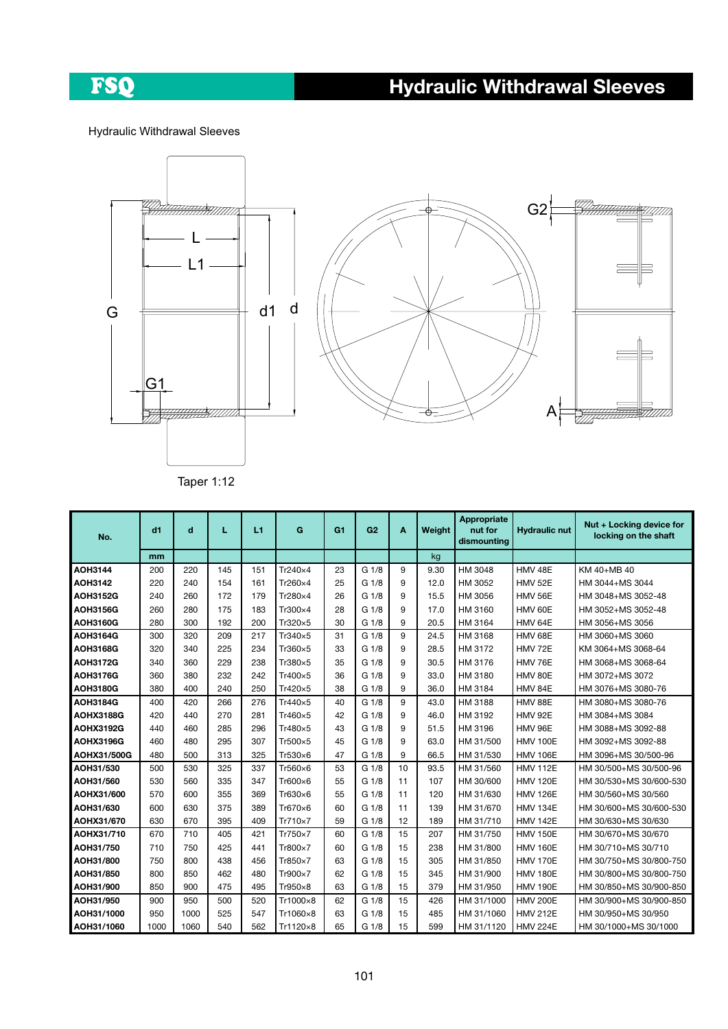## FSQ

## Hydraulic Withdrawal Sleeves

Hydraulic Withdrawal Sleeves





Taper 1:12

| No.              | d1   | d    | L   | L1  | G        | G <sub>1</sub> | G2               | A  | Weight | Appropriate<br>nut for<br>dismounting | <b>Hydraulic nut</b> | Nut + Locking device for<br>locking on the shaft |
|------------------|------|------|-----|-----|----------|----------------|------------------|----|--------|---------------------------------------|----------------------|--------------------------------------------------|
|                  | mm   |      |     |     |          |                |                  |    | kg     |                                       |                      |                                                  |
| <b>AOH3144</b>   | 200  | 220  | 145 | 151 | Tr240×4  | 23             | G 1/8            | 9  | 9.30   | HM 3048                               | HMV 48E              | KM 40+MB 40                                      |
| <b>AOH3142</b>   | 220  | 240  | 154 | 161 | Tr260×4  | 25             | G 1/8            | 9  | 12.0   | HM 3052                               | HMV 52E              | HM 3044+MS 3044                                  |
| <b>AOH3152G</b>  | 240  | 260  | 172 | 179 | Tr280×4  | 26             | G <sub>1/8</sub> | 9  | 15.5   | HM 3056                               | HMV 56E              | HM 3048+MS 3052-48                               |
| <b>AOH3156G</b>  | 260  | 280  | 175 | 183 | Tr300×4  | 28             | G <sub>1/8</sub> | 9  | 17.0   | HM 3160                               | HMV 60E              | HM 3052+MS 3052-48                               |
| <b>AOH3160G</b>  | 280  | 300  | 192 | 200 | Tr320×5  | 30             | G <sub>1/8</sub> | 9  | 20.5   | HM 3164                               | HMV 64E              | HM 3056+MS 3056                                  |
| <b>AOH3164G</b>  | 300  | 320  | 209 | 217 | Tr340×5  | 31             | G 1/8            | 9  | 24.5   | HM 3168                               | HMV 68E              | HM 3060+MS 3060                                  |
| <b>AOH3168G</b>  | 320  | 340  | 225 | 234 | Tr360×5  | 33             | G <sub>1/8</sub> | 9  | 28.5   | HM 3172                               | <b>HMV 72E</b>       | KM 3064+MS 3068-64                               |
| <b>AOH3172G</b>  | 340  | 360  | 229 | 238 | Tr380×5  | 35             | G 1/8            | 9  | 30.5   | HM 3176                               | HMV 76E              | HM 3068+MS 3068-64                               |
| <b>AOH3176G</b>  | 360  | 380  | 232 | 242 | Tr400×5  | 36             | G <sub>1/8</sub> | 9  | 33.0   | HM 3180                               | HMV 80E              | HM 3072+MS 3072                                  |
| <b>AOH3180G</b>  | 380  | 400  | 240 | 250 | Tr420×5  | 38             | G 1/8            | 9  | 36.0   | HM 3184                               | HMV 84E              | HM 3076+MS 3080-76                               |
| <b>AOH3184G</b>  | 400  | 420  | 266 | 276 | Tr440×5  | 40             | G 1/8            | 9  | 43.0   | HM 3188                               | HMV 88E              | HM 3080+MS 3080-76                               |
| AOHX3188G        | 420  | 440  | 270 | 281 | Tr460×5  | 42             | G 1/8            | 9  | 46.0   | HM 3192                               | HMV 92E              | HM 3084+MS 3084                                  |
| <b>AOHX3192G</b> | 440  | 460  | 285 | 296 | Tr480×5  | 43             | G <sub>1/8</sub> | 9  | 51.5   | HM 3196                               | HMV 96E              | HM 3088+MS 3092-88                               |
| AOHX3196G        | 460  | 480  | 295 | 307 | Tr500×5  | 45             | G 1/8            | 9  | 63.0   | HM 31/500                             | <b>HMV 100E</b>      | HM 3092+MS 3092-88                               |
| AOHX31/500G      | 480  | 500  | 313 | 325 | Tr530×6  | 47             | G 1/8            | 9  | 66.5   | HM 31/530                             | <b>HMV 106E</b>      | HM 3096+MS 30/500-96                             |
| AOH31/530        | 500  | 530  | 325 | 337 | Tr560×6  | 53             | G <sub>1/8</sub> | 10 | 93.5   | HM 31/560                             | <b>HMV 112E</b>      | HM 30/500+MS 30/500-96                           |
| AOH31/560        | 530  | 560  | 335 | 347 | Tr600×6  | 55             | G <sub>1/8</sub> | 11 | 107    | HM 30/600                             | <b>HMV 120E</b>      | HM 30/530+MS 30/600-530                          |
| AOHX31/600       | 570  | 600  | 355 | 369 | Tr630×6  | 55             | G 1/8            | 11 | 120    | HM 31/630                             | <b>HMV 126E</b>      | HM 30/560+MS 30/560                              |
| AOH31/630        | 600  | 630  | 375 | 389 | Tr670×6  | 60             | G <sub>1/8</sub> | 11 | 139    | HM 31/670                             | <b>HMV 134E</b>      | HM 30/600+MS 30/600-530                          |
| AOHX31/670       | 630  | 670  | 395 | 409 | Tr710×7  | 59             | G 1/8            | 12 | 189    | HM 31/710                             | <b>HMV 142E</b>      | HM 30/630+MS 30/630                              |
| AOHX31/710       | 670  | 710  | 405 | 421 | Tr750×7  | 60             | G 1/8            | 15 | 207    | HM 31/750                             | <b>HMV 150E</b>      | HM 30/670+MS 30/670                              |
| AOH31/750        | 710  | 750  | 425 | 441 | Tr800×7  | 60             | G <sub>1/8</sub> | 15 | 238    | HM 31/800                             | <b>HMV 160E</b>      | HM 30/710+MS 30/710                              |
| AOH31/800        | 750  | 800  | 438 | 456 | Tr850×7  | 63             | G 1/8            | 15 | 305    | HM 31/850                             | <b>HMV 170E</b>      | HM 30/750+MS 30/800-750                          |
| AOH31/850        | 800  | 850  | 462 | 480 | Tr900×7  | 62             | G <sub>1/8</sub> | 15 | 345    | HM 31/900                             | <b>HMV 180E</b>      | HM 30/800+MS 30/800-750                          |
| AOH31/900        | 850  | 900  | 475 | 495 | Tr950×8  | 63             | G 1/8            | 15 | 379    | HM 31/950                             | <b>HMV 190E</b>      | HM 30/850+MS 30/900-850                          |
| AOH31/950        | 900  | 950  | 500 | 520 | Tr1000×8 | 62             | G 1/8            | 15 | 426    | HM 31/1000                            | <b>HMV 200E</b>      | HM 30/900+MS 30/900-850                          |
| AOH31/1000       | 950  | 1000 | 525 | 547 | Tr1060×8 | 63             | G 1/8            | 15 | 485    | HM 31/1060                            | <b>HMV 212E</b>      | HM 30/950+MS 30/950                              |
| AOH31/1060       | 1000 | 1060 | 540 | 562 | Tr1120×8 | 65             | G 1/8            | 15 | 599    | HM 31/1120                            | <b>HMV 224E</b>      | HM 30/1000+MS 30/1000                            |